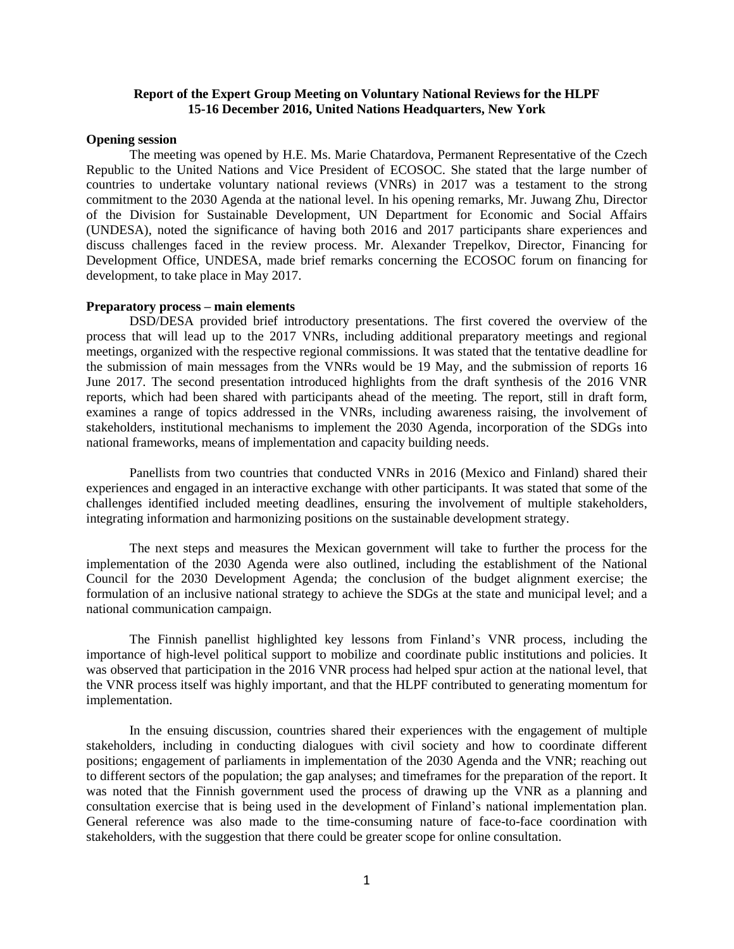## **Report of the Expert Group Meeting on Voluntary National Reviews for the HLPF 15-16 December 2016, United Nations Headquarters, New York**

### **Opening session**

The meeting was opened by H.E. Ms. Marie Chatardova, Permanent Representative of the Czech Republic to the United Nations and Vice President of ECOSOC. She stated that the large number of countries to undertake voluntary national reviews (VNRs) in 2017 was a testament to the strong commitment to the 2030 Agenda at the national level. In his opening remarks, Mr. Juwang Zhu, Director of the Division for Sustainable Development, UN Department for Economic and Social Affairs (UNDESA), noted the significance of having both 2016 and 2017 participants share experiences and discuss challenges faced in the review process. Mr. Alexander Trepelkov, Director, Financing for Development Office, UNDESA, made brief remarks concerning the ECOSOC forum on financing for development, to take place in May 2017.

### **Preparatory process – main elements**

DSD/DESA provided brief introductory presentations. The first covered the overview of the process that will lead up to the 2017 VNRs, including additional preparatory meetings and regional meetings, organized with the respective regional commissions. It was stated that the tentative deadline for the submission of main messages from the VNRs would be 19 May, and the submission of reports 16 June 2017. The second presentation introduced highlights from the draft synthesis of the 2016 VNR reports, which had been shared with participants ahead of the meeting. The report, still in draft form, examines a range of topics addressed in the VNRs, including awareness raising, the involvement of stakeholders, institutional mechanisms to implement the 2030 Agenda, incorporation of the SDGs into national frameworks, means of implementation and capacity building needs.

Panellists from two countries that conducted VNRs in 2016 (Mexico and Finland) shared their experiences and engaged in an interactive exchange with other participants. It was stated that some of the challenges identified included meeting deadlines, ensuring the involvement of multiple stakeholders, integrating information and harmonizing positions on the sustainable development strategy.

The next steps and measures the Mexican government will take to further the process for the implementation of the 2030 Agenda were also outlined, including the establishment of the National Council for the 2030 Development Agenda; the conclusion of the budget alignment exercise; the formulation of an inclusive national strategy to achieve the SDGs at the state and municipal level; and a national communication campaign.

The Finnish panellist highlighted key lessons from Finland's VNR process, including the importance of high-level political support to mobilize and coordinate public institutions and policies. It was observed that participation in the 2016 VNR process had helped spur action at the national level, that the VNR process itself was highly important, and that the HLPF contributed to generating momentum for implementation.

In the ensuing discussion, countries shared their experiences with the engagement of multiple stakeholders, including in conducting dialogues with civil society and how to coordinate different positions; engagement of parliaments in implementation of the 2030 Agenda and the VNR; reaching out to different sectors of the population; the gap analyses; and timeframes for the preparation of the report. It was noted that the Finnish government used the process of drawing up the VNR as a planning and consultation exercise that is being used in the development of Finland's national implementation plan. General reference was also made to the time-consuming nature of face-to-face coordination with stakeholders, with the suggestion that there could be greater scope for online consultation.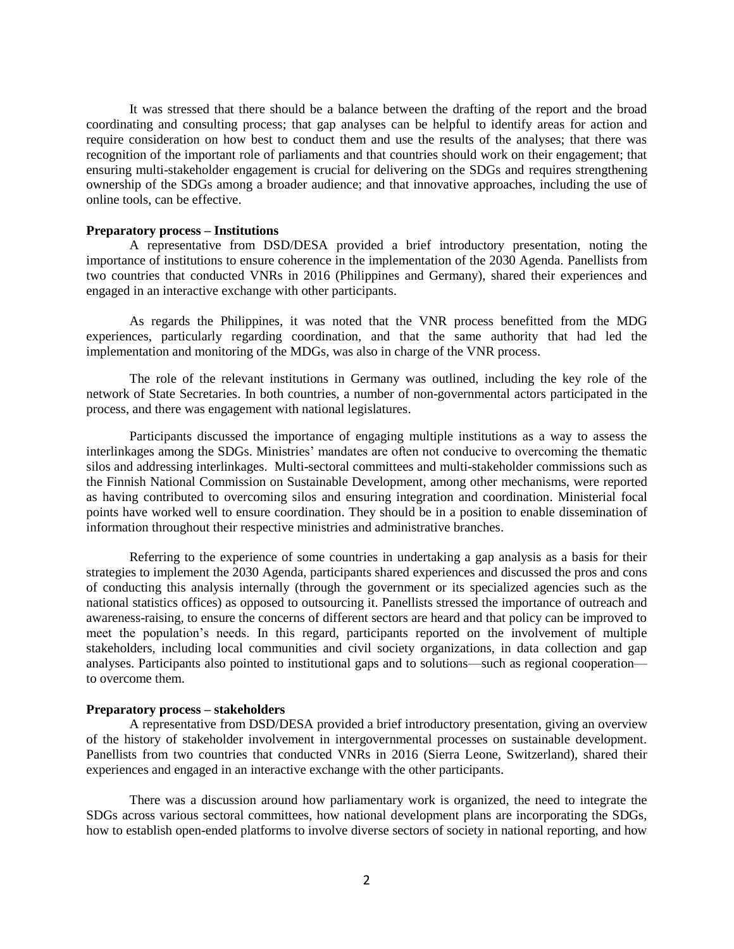It was stressed that there should be a balance between the drafting of the report and the broad coordinating and consulting process; that gap analyses can be helpful to identify areas for action and require consideration on how best to conduct them and use the results of the analyses; that there was recognition of the important role of parliaments and that countries should work on their engagement; that ensuring multi-stakeholder engagement is crucial for delivering on the SDGs and requires strengthening ownership of the SDGs among a broader audience; and that innovative approaches, including the use of online tools, can be effective.

### **Preparatory process – Institutions**

A representative from DSD/DESA provided a brief introductory presentation, noting the importance of institutions to ensure coherence in the implementation of the 2030 Agenda. Panellists from two countries that conducted VNRs in 2016 (Philippines and Germany), shared their experiences and engaged in an interactive exchange with other participants.

As regards the Philippines, it was noted that the VNR process benefitted from the MDG experiences, particularly regarding coordination, and that the same authority that had led the implementation and monitoring of the MDGs, was also in charge of the VNR process.

The role of the relevant institutions in Germany was outlined, including the key role of the network of State Secretaries. In both countries, a number of non-governmental actors participated in the process, and there was engagement with national legislatures.

Participants discussed the importance of engaging multiple institutions as a way to assess the interlinkages among the SDGs. Ministries' mandates are often not conducive to overcoming the thematic silos and addressing interlinkages. Multi-sectoral committees and multi-stakeholder commissions such as the Finnish National Commission on Sustainable Development, among other mechanisms, were reported as having contributed to overcoming silos and ensuring integration and coordination. Ministerial focal points have worked well to ensure coordination. They should be in a position to enable dissemination of information throughout their respective ministries and administrative branches.

Referring to the experience of some countries in undertaking a gap analysis as a basis for their strategies to implement the 2030 Agenda, participants shared experiences and discussed the pros and cons of conducting this analysis internally (through the government or its specialized agencies such as the national statistics offices) as opposed to outsourcing it. Panellists stressed the importance of outreach and awareness-raising, to ensure the concerns of different sectors are heard and that policy can be improved to meet the population's needs. In this regard, participants reported on the involvement of multiple stakeholders, including local communities and civil society organizations, in data collection and gap analyses. Participants also pointed to institutional gaps and to solutions—such as regional cooperation to overcome them.

### **Preparatory process – stakeholders**

A representative from DSD/DESA provided a brief introductory presentation, giving an overview of the history of stakeholder involvement in intergovernmental processes on sustainable development. Panellists from two countries that conducted VNRs in 2016 (Sierra Leone, Switzerland), shared their experiences and engaged in an interactive exchange with the other participants.

There was a discussion around how parliamentary work is organized, the need to integrate the SDGs across various sectoral committees, how national development plans are incorporating the SDGs, how to establish open-ended platforms to involve diverse sectors of society in national reporting, and how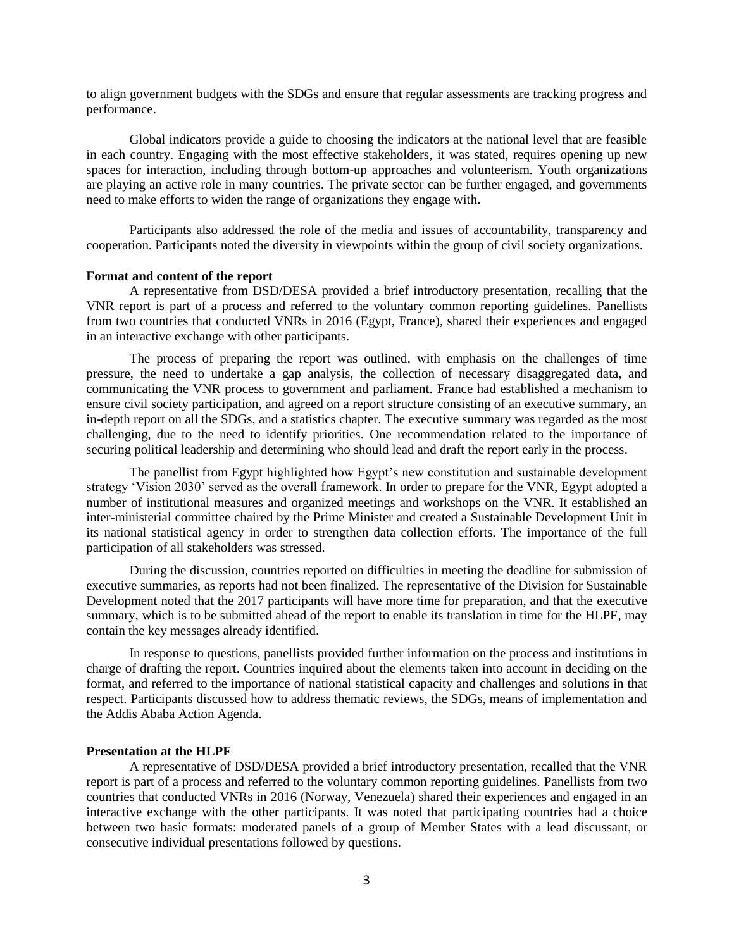to align government budgets with the SDGs and ensure that regular assessments are tracking progress and performance.

Global indicators provide a guide to choosing the indicators at the national level that are feasible in each country. Engaging with the most effective stakeholders, it was stated, requires opening up new spaces for interaction, including through bottom-up approaches and volunteerism. Youth organizations are playing an active role in many countries. The private sector can be further engaged, and governments need to make efforts to widen the range of organizations they engage with.

Participants also addressed the role of the media and issues of accountability, transparency and cooperation. Participants noted the diversity in viewpoints within the group of civil society organizations.

## **Format and content of the report**

A representative from DSD/DESA provided a brief introductory presentation, recalling that the VNR report is part of a process and referred to the voluntary common reporting guidelines. Panellists from two countries that conducted VNRs in 2016 (Egypt, France), shared their experiences and engaged in an interactive exchange with other participants.

The process of preparing the report was outlined, with emphasis on the challenges of time pressure, the need to undertake a gap analysis, the collection of necessary disaggregated data, and communicating the VNR process to government and parliament. France had established a mechanism to ensure civil society participation, and agreed on a report structure consisting of an executive summary, an in-depth report on all the SDGs, and a statistics chapter. The executive summary was regarded as the most challenging, due to the need to identify priorities. One recommendation related to the importance of securing political leadership and determining who should lead and draft the report early in the process.

The panellist from Egypt highlighted how Egypt's new constitution and sustainable development strategy 'Vision 2030' served as the overall framework. In order to prepare for the VNR, Egypt adopted a number of institutional measures and organized meetings and workshops on the VNR. It established an inter-ministerial committee chaired by the Prime Minister and created a Sustainable Development Unit in its national statistical agency in order to strengthen data collection efforts. The importance of the full participation of all stakeholders was stressed.

During the discussion, countries reported on difficulties in meeting the deadline for submission of executive summaries, as reports had not been finalized. The representative of the Division for Sustainable Development noted that the 2017 participants will have more time for preparation, and that the executive summary, which is to be submitted ahead of the report to enable its translation in time for the HLPF, may contain the key messages already identified.

In response to questions, panellists provided further information on the process and institutions in charge of drafting the report. Countries inquired about the elements taken into account in deciding on the format, and referred to the importance of national statistical capacity and challenges and solutions in that respect. Participants discussed how to address thematic reviews, the SDGs, means of implementation and the Addis Ababa Action Agenda.

# **Presentation at the HLPF**

A representative of DSD/DESA provided a brief introductory presentation, recalled that the VNR report is part of a process and referred to the voluntary common reporting guidelines. Panellists from two countries that conducted VNRs in 2016 (Norway, Venezuela) shared their experiences and engaged in an interactive exchange with the other participants. It was noted that participating countries had a choice between two basic formats: moderated panels of a group of Member States with a lead discussant, or consecutive individual presentations followed by questions.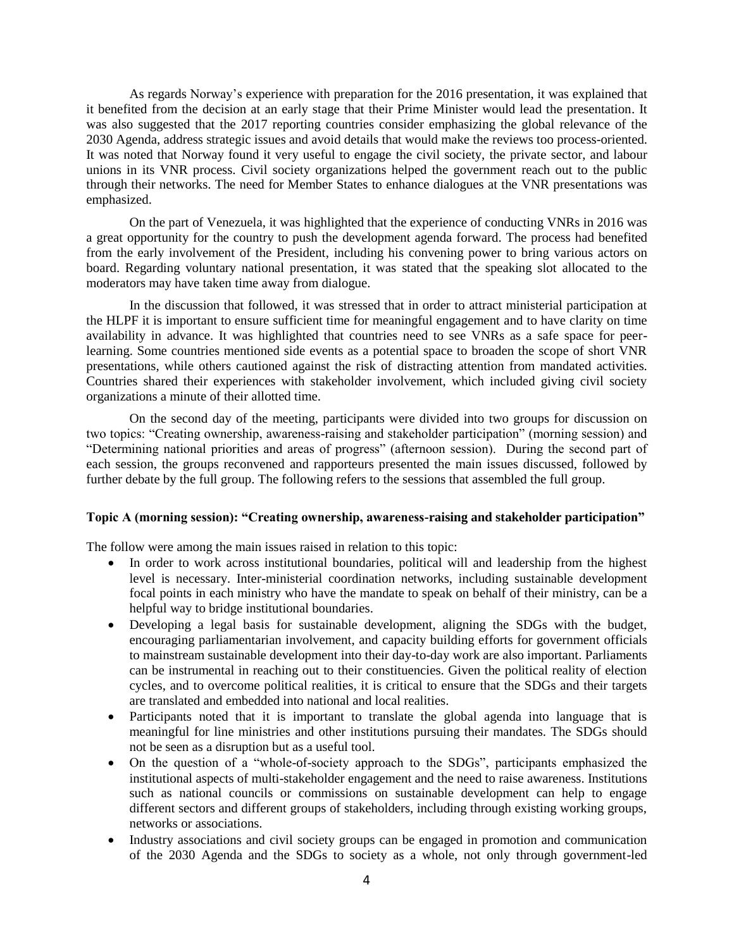As regards Norway's experience with preparation for the 2016 presentation, it was explained that it benefited from the decision at an early stage that their Prime Minister would lead the presentation. It was also suggested that the 2017 reporting countries consider emphasizing the global relevance of the 2030 Agenda, address strategic issues and avoid details that would make the reviews too process-oriented. It was noted that Norway found it very useful to engage the civil society, the private sector, and labour unions in its VNR process. Civil society organizations helped the government reach out to the public through their networks. The need for Member States to enhance dialogues at the VNR presentations was emphasized.

On the part of Venezuela, it was highlighted that the experience of conducting VNRs in 2016 was a great opportunity for the country to push the development agenda forward. The process had benefited from the early involvement of the President, including his convening power to bring various actors on board. Regarding voluntary national presentation, it was stated that the speaking slot allocated to the moderators may have taken time away from dialogue.

In the discussion that followed, it was stressed that in order to attract ministerial participation at the HLPF it is important to ensure sufficient time for meaningful engagement and to have clarity on time availability in advance. It was highlighted that countries need to see VNRs as a safe space for peerlearning. Some countries mentioned side events as a potential space to broaden the scope of short VNR presentations, while others cautioned against the risk of distracting attention from mandated activities. Countries shared their experiences with stakeholder involvement, which included giving civil society organizations a minute of their allotted time.

On the second day of the meeting, participants were divided into two groups for discussion on two topics: "Creating ownership, awareness-raising and stakeholder participation" (morning session) and "Determining national priorities and areas of progress" (afternoon session). During the second part of each session, the groups reconvened and rapporteurs presented the main issues discussed, followed by further debate by the full group. The following refers to the sessions that assembled the full group.

# **Topic A (morning session): "Creating ownership, awareness-raising and stakeholder participation"**

The follow were among the main issues raised in relation to this topic:

- In order to work across institutional boundaries, political will and leadership from the highest level is necessary. Inter-ministerial coordination networks, including sustainable development focal points in each ministry who have the mandate to speak on behalf of their ministry, can be a helpful way to bridge institutional boundaries.
- Developing a legal basis for sustainable development, aligning the SDGs with the budget, encouraging parliamentarian involvement, and capacity building efforts for government officials to mainstream sustainable development into their day-to-day work are also important. Parliaments can be instrumental in reaching out to their constituencies. Given the political reality of election cycles, and to overcome political realities, it is critical to ensure that the SDGs and their targets are translated and embedded into national and local realities.
- Participants noted that it is important to translate the global agenda into language that is meaningful for line ministries and other institutions pursuing their mandates. The SDGs should not be seen as a disruption but as a useful tool.
- On the question of a "whole-of-society approach to the SDGs", participants emphasized the institutional aspects of multi-stakeholder engagement and the need to raise awareness. Institutions such as national councils or commissions on sustainable development can help to engage different sectors and different groups of stakeholders, including through existing working groups, networks or associations.
- Industry associations and civil society groups can be engaged in promotion and communication of the 2030 Agenda and the SDGs to society as a whole, not only through government-led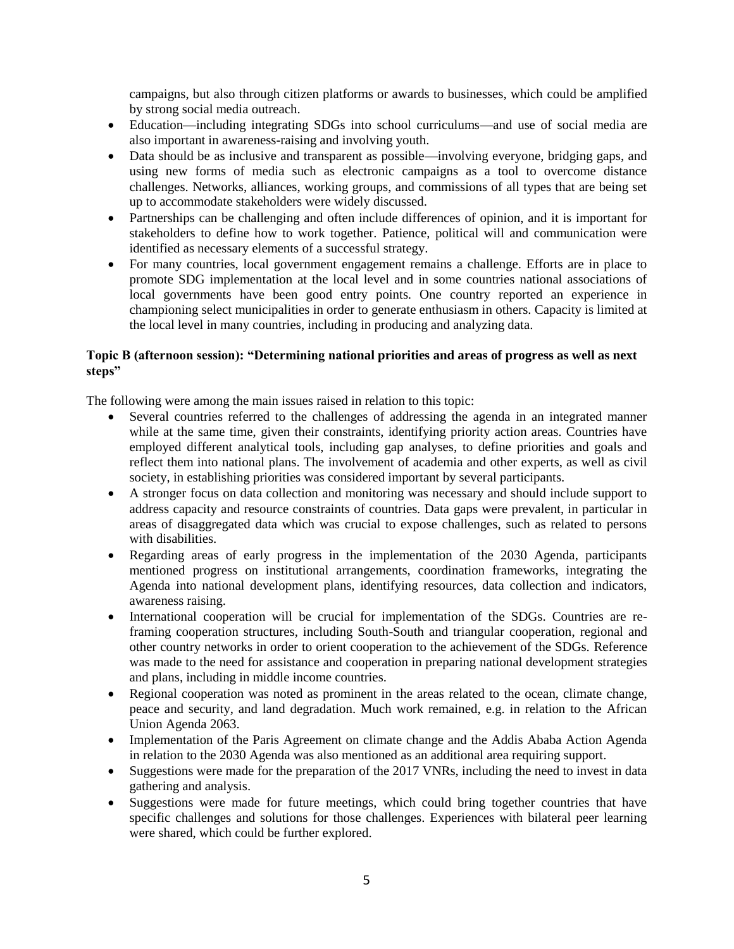campaigns, but also through citizen platforms or awards to businesses, which could be amplified by strong social media outreach.

- Education—including integrating SDGs into school curriculums—and use of social media are also important in awareness-raising and involving youth.
- Data should be as inclusive and transparent as possible—involving everyone, bridging gaps, and using new forms of media such as electronic campaigns as a tool to overcome distance challenges. Networks, alliances, working groups, and commissions of all types that are being set up to accommodate stakeholders were widely discussed.
- Partnerships can be challenging and often include differences of opinion, and it is important for stakeholders to define how to work together. Patience, political will and communication were identified as necessary elements of a successful strategy.
- For many countries, local government engagement remains a challenge. Efforts are in place to promote SDG implementation at the local level and in some countries national associations of local governments have been good entry points. One country reported an experience in championing select municipalities in order to generate enthusiasm in others. Capacity is limited at the local level in many countries, including in producing and analyzing data.

# **Topic B (afternoon session): "Determining national priorities and areas of progress as well as next steps"**

The following were among the main issues raised in relation to this topic:

- Several countries referred to the challenges of addressing the agenda in an integrated manner while at the same time, given their constraints, identifying priority action areas. Countries have employed different analytical tools, including gap analyses, to define priorities and goals and reflect them into national plans. The involvement of academia and other experts, as well as civil society, in establishing priorities was considered important by several participants.
- A stronger focus on data collection and monitoring was necessary and should include support to address capacity and resource constraints of countries. Data gaps were prevalent, in particular in areas of disaggregated data which was crucial to expose challenges, such as related to persons with disabilities.
- Regarding areas of early progress in the implementation of the 2030 Agenda, participants mentioned progress on institutional arrangements, coordination frameworks, integrating the Agenda into national development plans, identifying resources, data collection and indicators, awareness raising.
- International cooperation will be crucial for implementation of the SDGs. Countries are reframing cooperation structures, including South-South and triangular cooperation, regional and other country networks in order to orient cooperation to the achievement of the SDGs. Reference was made to the need for assistance and cooperation in preparing national development strategies and plans, including in middle income countries.
- Regional cooperation was noted as prominent in the areas related to the ocean, climate change, peace and security, and land degradation. Much work remained, e.g. in relation to the African Union Agenda 2063.
- Implementation of the Paris Agreement on climate change and the Addis Ababa Action Agenda in relation to the 2030 Agenda was also mentioned as an additional area requiring support.
- Suggestions were made for the preparation of the 2017 VNRs, including the need to invest in data gathering and analysis.
- Suggestions were made for future meetings, which could bring together countries that have specific challenges and solutions for those challenges. Experiences with bilateral peer learning were shared, which could be further explored.